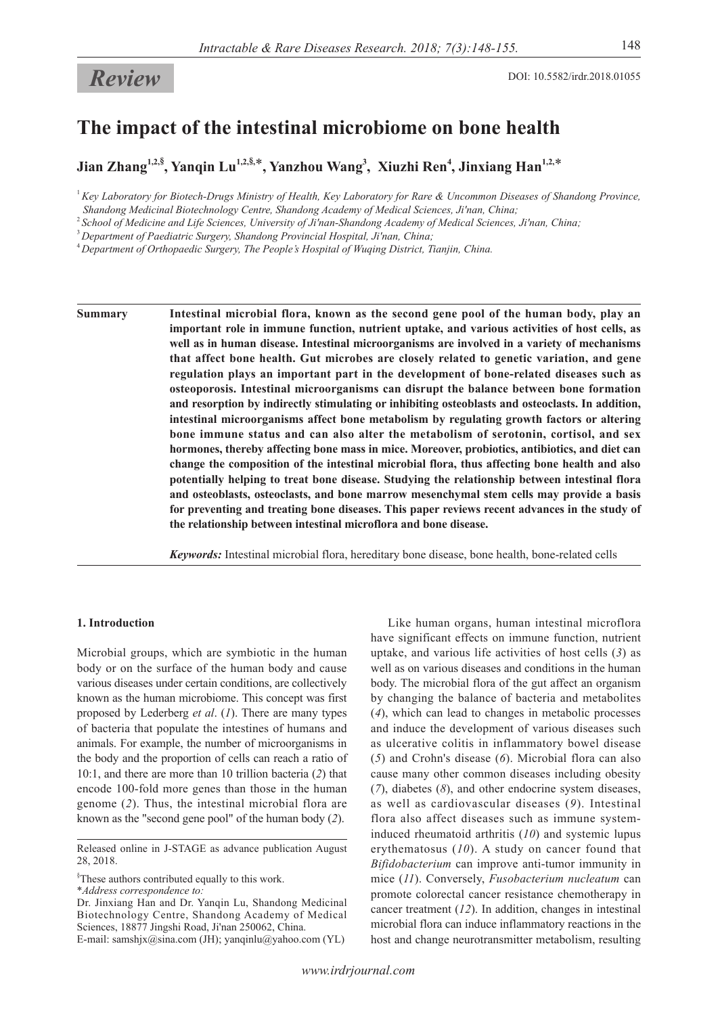# **Review** DOI: 10.5582/irdr.2018.01055

# **The impact of the intestinal microbiome on bone health**

**Jian Zhang1,2,§ , Yanqin Lu1,2,§,** \***, Yanzhou Wang<sup>3</sup> , Xiuzhi Ren<sup>4</sup> , Jinxiang Han1,2,**\*

<sup>1</sup>*Key Laboratory for Biotech-Drugs Ministry of Health, Key Laboratory for Rare & Uncommon Diseases of Shandong Province, Shandong Medicinal Biotechnology Centre, Shandong Academy of Medical Sciences, Ji'nan, China;*

<sup>2</sup>*School of Medicine and Life Sciences, University of Ji'nan-Shandong Academy of Medical Sciences, Ji'nan, China;*

<sup>3</sup>*Department of Paediatric Surgery, Shandong Provincial Hospital, Ji'nan, China;*

<sup>4</sup>*Department of Orthopaedic Surgery, The People's Hospital of Wuqing District, Tianjin, China.*

**Summary Intestinal microbial flora, known as the second gene pool of the human body, play an important role in immune function, nutrient uptake, and various activities of host cells, as well as in human disease. Intestinal microorganisms are involved in a variety of mechanisms that affect bone health. Gut microbes are closely related to genetic variation, and gene regulation plays an important part in the development of bone-related diseases such as osteoporosis. Intestinal microorganisms can disrupt the balance between bone formation and resorption by indirectly stimulating or inhibiting osteoblasts and osteoclasts. In addition, intestinal microorganisms affect bone metabolism by regulating growth factors or altering bone immune status and can also alter the metabolism of serotonin, cortisol, and sex hormones, thereby affecting bone mass in mice. Moreover, probiotics, antibiotics, and diet can change the composition of the intestinal microbial flora, thus affecting bone health and also potentially helping to treat bone disease. Studying the relationship between intestinal flora and osteoblasts, osteoclasts, and bone marrow mesenchymal stem cells may provide a basis for preventing and treating bone diseases. This paper reviews recent advances in the study of the relationship between intestinal microflora and bone disease.**

*Keywords:* Intestinal microbial flora, hereditary bone disease, bone health, bone-related cells

## **1. Introduction**

Microbial groups, which are symbiotic in the human body or on the surface of the human body and cause various diseases under certain conditions, are collectively known as the human microbiome. This concept was first proposed by Lederberg *et al*. (*1*). There are many types of bacteria that populate the intestines of humans and animals. For example, the number of microorganisms in the body and the proportion of cells can reach a ratio of 10:1, and there are more than 10 trillion bacteria (*2*) that encode 100-fold more genes than those in the human genome (*2*). Thus, the intestinal microbial flora are known as the "second gene pool" of the human body (*2*).

§ These authors contributed equally to this work.

\**Address correspondence to:*

Dr. Jinxiang Han and Dr. Yanqin Lu, Shandong Medicinal Biotechnology Centre, Shandong Academy of Medical Sciences, 18877 Jingshi Road, Ji'nan 250062, China. E-mail: samshjx@sina.com (JH); yanqinlu@yahoo.com (YL)

Like human organs, human intestinal microflora have significant effects on immune function, nutrient uptake, and various life activities of host cells (*3*) as well as on various diseases and conditions in the human body. The microbial flora of the gut affect an organism by changing the balance of bacteria and metabolites (*4*), which can lead to changes in metabolic processes and induce the development of various diseases such as ulcerative colitis in inflammatory bowel disease (*5*) and Crohn's disease (*6*). Microbial flora can also cause many other common diseases including obesity (*7*), diabetes (*8*), and other endocrine system diseases, as well as cardiovascular diseases (*9*). Intestinal flora also affect diseases such as immune systeminduced rheumatoid arthritis (*10*) and systemic lupus erythematosus (*10*). A study on cancer found that *Bifidobacterium* can improve anti-tumor immunity in mice (*11*). Conversely, *Fusobacterium nucleatum* can promote colorectal cancer resistance chemotherapy in cancer treatment (*12*). In addition, changes in intestinal microbial flora can induce inflammatory reactions in the host and change neurotransmitter metabolism, resulting

Released online in J-STAGE as advance publication August 28, 2018.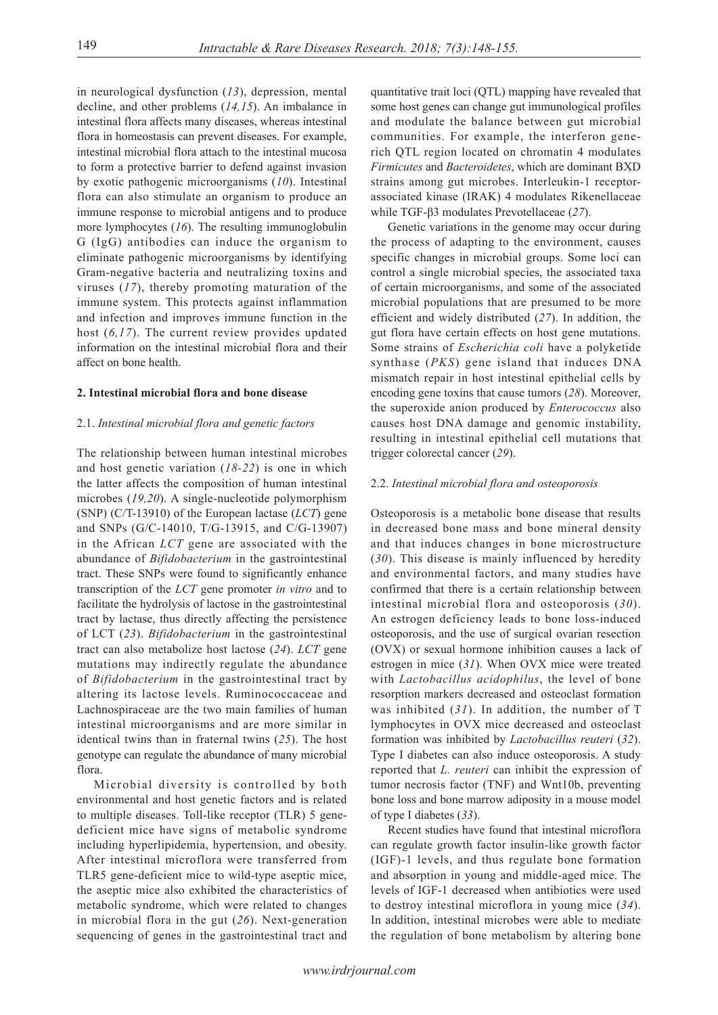in neurological dysfunction (*13*), depression, mental decline, and other problems (*14,15*). An imbalance in intestinal flora affects many diseases, whereas intestinal flora in homeostasis can prevent diseases. For example, intestinal microbial flora attach to the intestinal mucosa to form a protective barrier to defend against invasion by exotic pathogenic microorganisms (*10*). Intestinal flora can also stimulate an organism to produce an immune response to microbial antigens and to produce more lymphocytes (*16*). The resulting immunoglobulin G (IgG) antibodies can induce the organism to eliminate pathogenic microorganisms by identifying Gram-negative bacteria and neutralizing toxins and viruses (*17*), thereby promoting maturation of the immune system. This protects against inflammation and infection and improves immune function in the host (*6,17*). The current review provides updated information on the intestinal microbial flora and their affect on bone health.

## **2. Intestinal microbial flora and bone disease**

#### 2.1. *Intestinal microbial flora and genetic factors*

The relationship between human intestinal microbes and host genetic variation (*18-22*) is one in which the latter affects the composition of human intestinal microbes (*19,20*). A single-nucleotide polymorphism (SNP) (C/T-13910) of the European lactase (*LCT*) gene and SNPs (G/C-14010, T/G-13915, and C/G-13907) in the African *LCT* gene are associated with the abundance of *Bifidobacterium* in the gastrointestinal tract. These SNPs were found to significantly enhance transcription of the *LCT* gene promoter *in vitro* and to facilitate the hydrolysis of lactose in the gastrointestinal tract by lactase, thus directly affecting the persistence of LCT (*23*). *Bifidobacterium* in the gastrointestinal tract can also metabolize host lactose (*24*). *LCT* gene mutations may indirectly regulate the abundance of *Bifidobacterium* in the gastrointestinal tract by altering its lactose levels. Ruminococcaceae and Lachnospiraceae are the two main families of human intestinal microorganisms and are more similar in identical twins than in fraternal twins (*25*). The host genotype can regulate the abundance of many microbial flora.

Microbial diversity is controlled by both environmental and host genetic factors and is related to multiple diseases. Toll-like receptor (TLR) 5 genedeficient mice have signs of metabolic syndrome including hyperlipidemia, hypertension, and obesity. After intestinal microflora were transferred from TLR5 gene-deficient mice to wild-type aseptic mice, the aseptic mice also exhibited the characteristics of metabolic syndrome, which were related to changes in microbial flora in the gut (*26*). Next-generation sequencing of genes in the gastrointestinal tract and

quantitative trait loci (QTL) mapping have revealed that some host genes can change gut immunological profiles and modulate the balance between gut microbial communities. For example, the interferon generich QTL region located on chromatin 4 modulates *Firmicutes* and *Bacteroidetes*, which are dominant BXD strains among gut microbes. Interleukin-1 receptorassociated kinase (IRAK) 4 modulates Rikenellaceae while TGF-β3 modulates Prevotellaceae (*27*).

Genetic variations in the genome may occur during the process of adapting to the environment, causes specific changes in microbial groups. Some loci can control a single microbial species, the associated taxa of certain microorganisms, and some of the associated microbial populations that are presumed to be more efficient and widely distributed (*27*). In addition, the gut flora have certain effects on host gene mutations. Some strains of *Escherichia coli* have a polyketide synthase (*PKS*) gene island that induces DNA mismatch repair in host intestinal epithelial cells by encoding gene toxins that cause tumors (*28*). Moreover, the superoxide anion produced by *Enterococcus* also causes host DNA damage and genomic instability, resulting in intestinal epithelial cell mutations that trigger colorectal cancer (*29*).

#### 2.2. *Intestinal microbial flora and osteoporosis*

Osteoporosis is a metabolic bone disease that results in decreased bone mass and bone mineral density and that induces changes in bone microstructure (*30*). This disease is mainly influenced by heredity and environmental factors, and many studies have confirmed that there is a certain relationship between intestinal microbial flora and osteoporosis (*30*). An estrogen deficiency leads to bone loss-induced osteoporosis, and the use of surgical ovarian resection (OVX) or sexual hormone inhibition causes a lack of estrogen in mice (*31*). When OVX mice were treated with *Lactobacillus acidophilus*, the level of bone resorption markers decreased and osteoclast formation was inhibited (*31*). In addition, the number of T lymphocytes in OVX mice decreased and osteoclast formation was inhibited by *Lactobacillus reuteri* (*32*). Type I diabetes can also induce osteoporosis. A study reported that *L. reuteri* can inhibit the expression of tumor necrosis factor (TNF) and Wnt10b, preventing bone loss and bone marrow adiposity in a mouse model of type I diabetes (*33*).

Recent studies have found that intestinal microflora can regulate growth factor insulin-like growth factor (IGF)-1 levels, and thus regulate bone formation and absorption in young and middle-aged mice. The levels of IGF-1 decreased when antibiotics were used to destroy intestinal microflora in young mice (*34*). In addition, intestinal microbes were able to mediate the regulation of bone metabolism by altering bone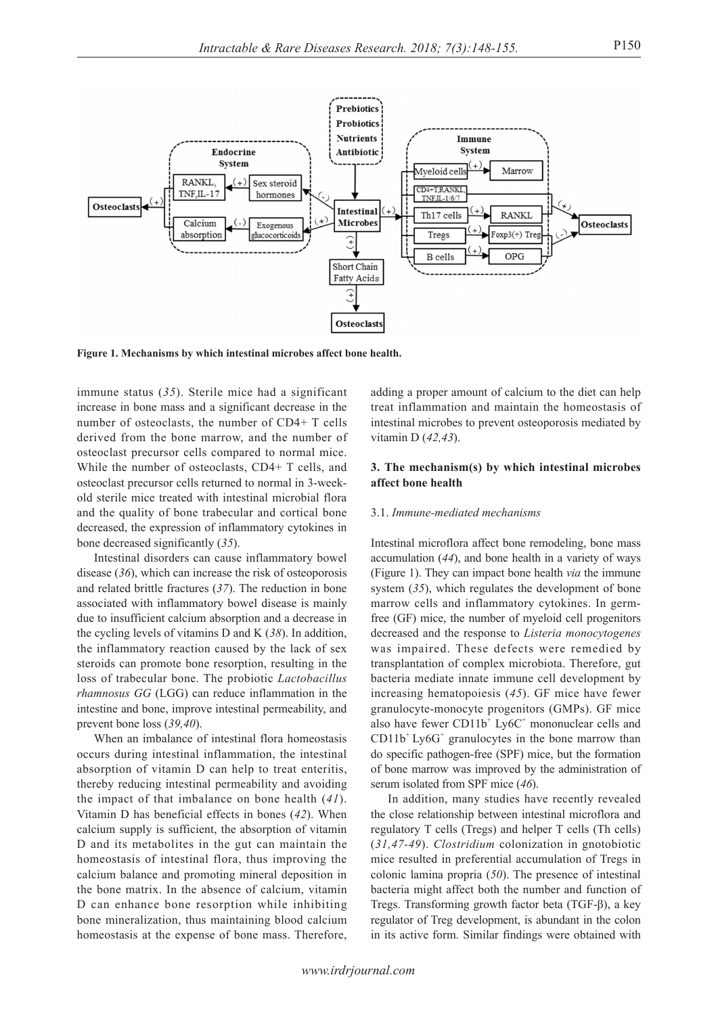

**Figure 1. Mechanisms by which intestinal microbes affect bone health.**

immune status (*35*). Sterile mice had a significant increase in bone mass and a significant decrease in the number of osteoclasts, the number of CD4+ T cells derived from the bone marrow, and the number of osteoclast precursor cells compared to normal mice. While the number of osteoclasts, CD4+ T cells, and osteoclast precursor cells returned to normal in 3-weekold sterile mice treated with intestinal microbial flora and the quality of bone trabecular and cortical bone decreased, the expression of inflammatory cytokines in bone decreased significantly (*35*).

Intestinal disorders can cause inflammatory bowel disease (*36*), which can increase the risk of osteoporosis and related brittle fractures (*37*). The reduction in bone associated with inflammatory bowel disease is mainly due to insufficient calcium absorption and a decrease in the cycling levels of vitamins D and K (*38*). In addition, the inflammatory reaction caused by the lack of sex steroids can promote bone resorption, resulting in the loss of trabecular bone. The probiotic *Lactobacillus rhamnosus GG* (LGG) can reduce inflammation in the intestine and bone, improve intestinal permeability, and prevent bone loss (*39,40*).

When an imbalance of intestinal flora homeostasis occurs during intestinal inflammation, the intestinal absorption of vitamin D can help to treat enteritis, thereby reducing intestinal permeability and avoiding the impact of that imbalance on bone health (*41*). Vitamin D has beneficial effects in bones (*42*). When calcium supply is sufficient, the absorption of vitamin D and its metabolites in the gut can maintain the homeostasis of intestinal flora, thus improving the calcium balance and promoting mineral deposition in the bone matrix. In the absence of calcium, vitamin D can enhance bone resorption while inhibiting bone mineralization, thus maintaining blood calcium homeostasis at the expense of bone mass. Therefore, adding a proper amount of calcium to the diet can help treat inflammation and maintain the homeostasis of intestinal microbes to prevent osteoporosis mediated by vitamin D (*42,43*).

## **3. The mechanism(s) by which intestinal microbes affect bone health**

#### 3.1. *Immune-mediated mechanisms*

Intestinal microflora affect bone remodeling, bone mass accumulation (*44*), and bone health in a variety of ways (Figure 1). They can impact bone health *via* the immune system (*35*), which regulates the development of bone marrow cells and inflammatory cytokines. In germfree (GF) mice, the number of myeloid cell progenitors decreased and the response to *Listeria monocytogenes* was impaired. These defects were remedied by transplantation of complex microbiota. Therefore, gut bacteria mediate innate immune cell development by increasing hematopoiesis (*45*). GF mice have fewer granulocyte-monocyte progenitors (GMPs). GF mice also have fewer CD11b<sup>+</sup> Ly6C<sup>+</sup> mononuclear cells and  $CD11b<sup>+</sup> Ly6G<sup>+</sup>$  granulocytes in the bone marrow than do specific pathogen-free (SPF) mice, but the formation of bone marrow was improved by the administration of serum isolated from SPF mice (*46*).

In addition, many studies have recently revealed the close relationship between intestinal microflora and regulatory T cells (Tregs) and helper T cells (Th cells) (*31,47-49*). *Clostridium* colonization in gnotobiotic mice resulted in preferential accumulation of Tregs in colonic lamina propria (*50*). The presence of intestinal bacteria might affect both the number and function of Tregs. Transforming growth factor beta (TGF-β), a key regulator of Treg development, is abundant in the colon in its active form. Similar findings were obtained with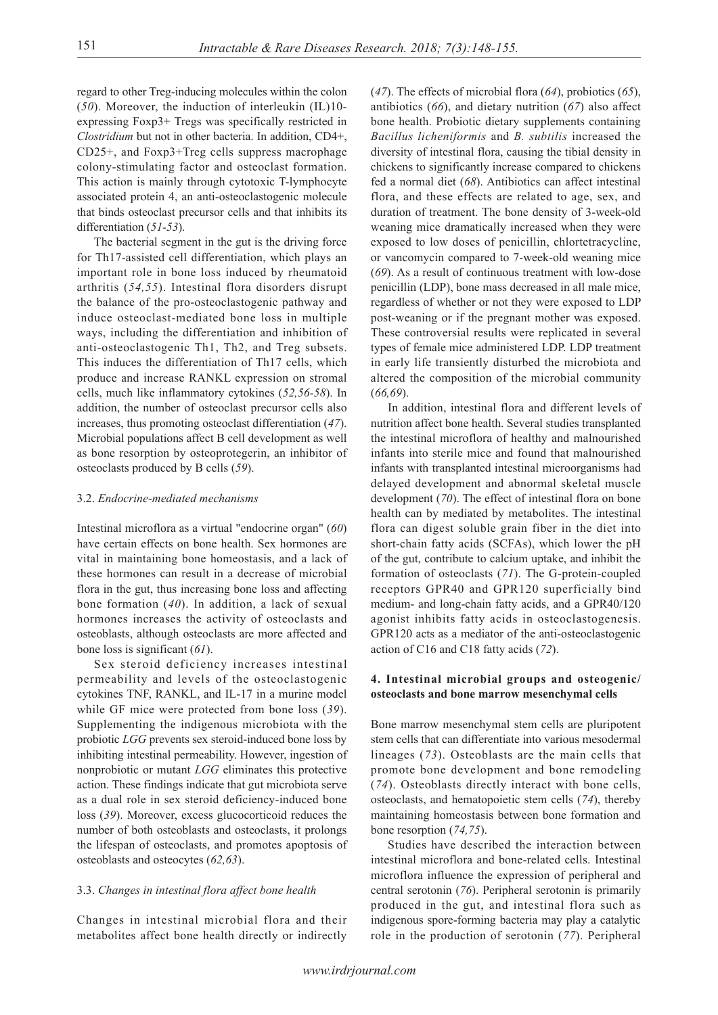regard to other Treg-inducing molecules within the colon (*50*). Moreover, the induction of interleukin (IL)10 expressing Foxp3+ Tregs was specifically restricted in *Clostridium* but not in other bacteria. In addition, CD4+, CD25+, and Foxp3+Treg cells suppress macrophage colony-stimulating factor and osteoclast formation. This action is mainly through cytotoxic T-lymphocyte associated protein 4, an anti-osteoclastogenic molecule that binds osteoclast precursor cells and that inhibits its differentiation (*51-53*).

The bacterial segment in the gut is the driving force for Th17-assisted cell differentiation, which plays an important role in bone loss induced by rheumatoid arthritis (*54,55*). Intestinal flora disorders disrupt the balance of the pro-osteoclastogenic pathway and induce osteoclast-mediated bone loss in multiple ways, including the differentiation and inhibition of anti-osteoclastogenic Th1, Th2, and Treg subsets. This induces the differentiation of Th17 cells, which produce and increase RANKL expression on stromal cells, much like inflammatory cytokines (*52,56-58*). In addition, the number of osteoclast precursor cells also increases, thus promoting osteoclast differentiation (*47*). Microbial populations affect B cell development as well as bone resorption by osteoprotegerin, an inhibitor of osteoclasts produced by B cells (*59*).

# 3.2. *Endocrine-mediated mechanisms*

Intestinal microflora as a virtual "endocrine organ" (*60*) have certain effects on bone health. Sex hormones are vital in maintaining bone homeostasis, and a lack of these hormones can result in a decrease of microbial flora in the gut, thus increasing bone loss and affecting bone formation (*40*). In addition, a lack of sexual hormones increases the activity of osteoclasts and osteoblasts, although osteoclasts are more affected and bone loss is significant (*61*).

Sex steroid deficiency increases intestinal permeability and levels of the osteoclastogenic cytokines TNF, RANKL, and IL-17 in a murine model while GF mice were protected from bone loss (*39*). Supplementing the indigenous microbiota with the probiotic *LGG* prevents sex steroid-induced bone loss by inhibiting intestinal permeability. However, ingestion of nonprobiotic or mutant *LGG* eliminates this protective action. These findings indicate that gut microbiota serve as a dual role in sex steroid deficiency-induced bone loss (*39*). Moreover, excess glucocorticoid reduces the number of both osteoblasts and osteoclasts, it prolongs the lifespan of osteoclasts, and promotes apoptosis of osteoblasts and osteocytes (*62,63*).

## 3.3. *Changes in intestinal flora affect bone health*

Changes in intestinal microbial flora and their metabolites affect bone health directly or indirectly

(*47*). The effects of microbial flora (*64*), probiotics (*65*), antibiotics (*66*), and dietary nutrition (*67*) also affect bone health. Probiotic dietary supplements containing *Bacillus licheniformis* and *B. subtilis* increased the diversity of intestinal flora, causing the tibial density in chickens to significantly increase compared to chickens fed a normal diet (*68*). Antibiotics can affect intestinal flora, and these effects are related to age, sex, and duration of treatment. The bone density of 3-week-old weaning mice dramatically increased when they were exposed to low doses of penicillin, chlortetracycline, or vancomycin compared to 7-week-old weaning mice (*69*). As a result of continuous treatment with low-dose penicillin (LDP), bone mass decreased in all male mice, regardless of whether or not they were exposed to LDP post-weaning or if the pregnant mother was exposed. These controversial results were replicated in several types of female mice administered LDP. LDP treatment in early life transiently disturbed the microbiota and altered the composition of the microbial community (*66,69*).

In addition, intestinal flora and different levels of nutrition affect bone health. Several studies transplanted the intestinal microflora of healthy and malnourished infants into sterile mice and found that malnourished infants with transplanted intestinal microorganisms had delayed development and abnormal skeletal muscle development (*70*). The effect of intestinal flora on bone health can by mediated by metabolites. The intestinal flora can digest soluble grain fiber in the diet into short-chain fatty acids (SCFAs), which lower the pH of the gut, contribute to calcium uptake, and inhibit the formation of osteoclasts (*71*). The G-protein-coupled receptors GPR40 and GPR120 superficially bind medium- and long-chain fatty acids, and a GPR40/120 agonist inhibits fatty acids in osteoclastogenesis. GPR120 acts as a mediator of the anti-osteoclastogenic action of C16 and C18 fatty acids (*72*).

# **4. Intestinal microbial groups and osteogenic/ osteoclasts and bone marrow mesenchymal cells**

Bone marrow mesenchymal stem cells are pluripotent stem cells that can differentiate into various mesodermal lineages (*73*). Osteoblasts are the main cells that promote bone development and bone remodeling (*74*). Osteoblasts directly interact with bone cells, osteoclasts, and hematopoietic stem cells (*74*), thereby maintaining homeostasis between bone formation and bone resorption (*74,75*).

Studies have described the interaction between intestinal microflora and bone-related cells. Intestinal microflora influence the expression of peripheral and central serotonin (*76*). Peripheral serotonin is primarily produced in the gut, and intestinal flora such as indigenous spore-forming bacteria may play a catalytic role in the production of serotonin (*77*). Peripheral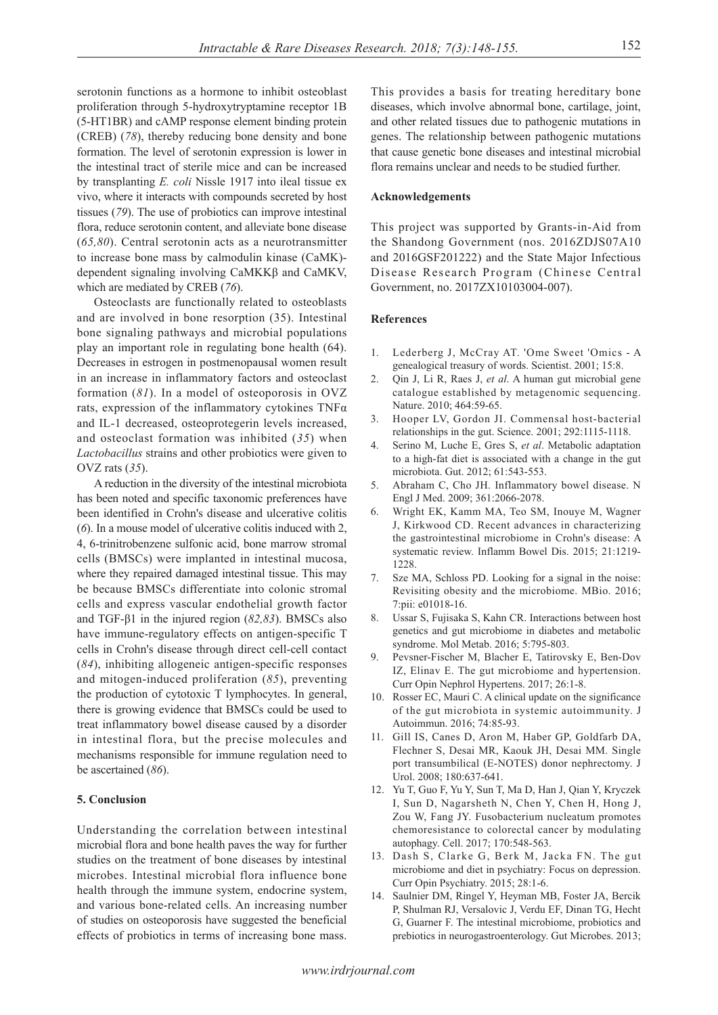serotonin functions as a hormone to inhibit osteoblast proliferation through 5-hydroxytryptamine receptor 1B (5-HT1BR) and cAMP response element binding protein (CREB) (*78*), thereby reducing bone density and bone formation. The level of serotonin expression is lower in the intestinal tract of sterile mice and can be increased by transplanting *E. coli* Nissle 1917 into ileal tissue ex vivo, where it interacts with compounds secreted by host tissues (*79*). The use of probiotics can improve intestinal flora, reduce serotonin content, and alleviate bone disease (*65,80*). Central serotonin acts as a neurotransmitter to increase bone mass by calmodulin kinase (CaMK) dependent signaling involving CaMKKβ and CaMKV, which are mediated by CREB (*76*).

Osteoclasts are functionally related to osteoblasts and are involved in bone resorption (35). Intestinal bone signaling pathways and microbial populations play an important role in regulating bone health (64). Decreases in estrogen in postmenopausal women result in an increase in inflammatory factors and osteoclast formation (*81*). In a model of osteoporosis in OVZ rats, expression of the inflammatory cytokines  $TNF\alpha$ and IL-1 decreased, osteoprotegerin levels increased, and osteoclast formation was inhibited (*35*) when *Lactobacillus* strains and other probiotics were given to OVZ rats (*35*).

A reduction in the diversity of the intestinal microbiota has been noted and specific taxonomic preferences have been identified in Crohn's disease and ulcerative colitis (*6*). In a mouse model of ulcerative colitis induced with 2, 4, 6-trinitrobenzene sulfonic acid, bone marrow stromal cells (BMSCs) were implanted in intestinal mucosa, where they repaired damaged intestinal tissue. This may be because BMSCs differentiate into colonic stromal cells and express vascular endothelial growth factor and TGF-β1 in the injured region (*82,83*). BMSCs also have immune-regulatory effects on antigen-specific T cells in Crohn's disease through direct cell-cell contact (*84*), inhibiting allogeneic antigen-specific responses and mitogen-induced proliferation (*85*), preventing the production of cytotoxic T lymphocytes. In general, there is growing evidence that BMSCs could be used to treat inflammatory bowel disease caused by a disorder in intestinal flora, but the precise molecules and mechanisms responsible for immune regulation need to be ascertained (*86*).

# **5. Conclusion**

Understanding the correlation between intestinal microbial flora and bone health paves the way for further studies on the treatment of bone diseases by intestinal microbes. Intestinal microbial flora influence bone health through the immune system, endocrine system, and various bone-related cells. An increasing number of studies on osteoporosis have suggested the beneficial effects of probiotics in terms of increasing bone mass.

This provides a basis for treating hereditary bone diseases, which involve abnormal bone, cartilage, joint, and other related tissues due to pathogenic mutations in genes. The relationship between pathogenic mutations that cause genetic bone diseases and intestinal microbial flora remains unclear and needs to be studied further.

### **Acknowledgements**

This project was supported by Grants-in-Aid from the Shandong Government (nos. 2016ZDJS07A10 and 2016GSF201222) and the State Major Infectious Disease Research Program (Chinese Central Government, no. 2017ZX10103004-007).

#### **References**

- 1. Lederberg J, McCray AT. 'Ome Sweet 'Omics A genealogical treasury of words. Scientist. 2001; 15:8.
- 2. Qin J, Li R, Raes J, *et al*. A human gut microbial gene catalogue established by metagenomic sequencing. Nature. 2010; 464:59-65.
- 3. Hooper LV, Gordon JI. Commensal host-bacterial relationships in the gut. Science. 2001; 292:1115-1118.
- 4. Serino M, Luche E, Gres S, *et al*. Metabolic adaptation to a high-fat diet is associated with a change in the gut microbiota. Gut. 2012; 61:543-553.
- 5. Abraham C, Cho JH. Inflammatory bowel disease. N Engl J Med. 2009; 361:2066-2078.
- 6. Wright EK, Kamm MA, Teo SM, Inouye M, Wagner J, Kirkwood CD. Recent advances in characterizing the gastrointestinal microbiome in Crohn's disease: A systematic review. Inflamm Bowel Dis. 2015; 21:1219- 1228.
- 7. Sze MA, Schloss PD. Looking for a signal in the noise: Revisiting obesity and the microbiome. MBio. 2016; 7:pii: e01018-16.
- 8. Ussar S, Fujisaka S, Kahn CR. Interactions between host genetics and gut microbiome in diabetes and metabolic syndrome. Mol Metab. 2016; 5:795-803.
- 9. Pevsner-Fischer M, Blacher E, Tatirovsky E, Ben-Dov IZ, Elinav E. The gut microbiome and hypertension. Curr Opin Nephrol Hypertens. 2017; 26:1-8.
- 10. Rosser EC, Mauri C. A clinical update on the significance of the gut microbiota in systemic autoimmunity. J Autoimmun. 2016; 74:85-93.
- 11. Gill IS, Canes D, Aron M, Haber GP, Goldfarb DA, Flechner S, Desai MR, Kaouk JH, Desai MM. Single port transumbilical (E-NOTES) donor nephrectomy. J Urol. 2008; 180:637-641.
- 12. Yu T, Guo F, Yu Y, Sun T, Ma D, Han J, Qian Y, Kryczek I, Sun D, Nagarsheth N, Chen Y, Chen H, Hong J, Zou W, Fang JY. Fusobacterium nucleatum promotes chemoresistance to colorectal cancer by modulating autophagy. Cell. 2017; 170:548-563.
- 13. Dash S, Clarke G, Berk M, Jacka FN. The gut microbiome and diet in psychiatry: Focus on depression. Curr Opin Psychiatry. 2015; 28:1-6.
- 14. Saulnier DM, Ringel Y, Heyman MB, Foster JA, Bercik P, Shulman RJ, Versalovic J, Verdu EF, Dinan TG, Hecht G, Guarner F. The intestinal microbiome, probiotics and prebiotics in neurogastroenterology. Gut Microbes. 2013;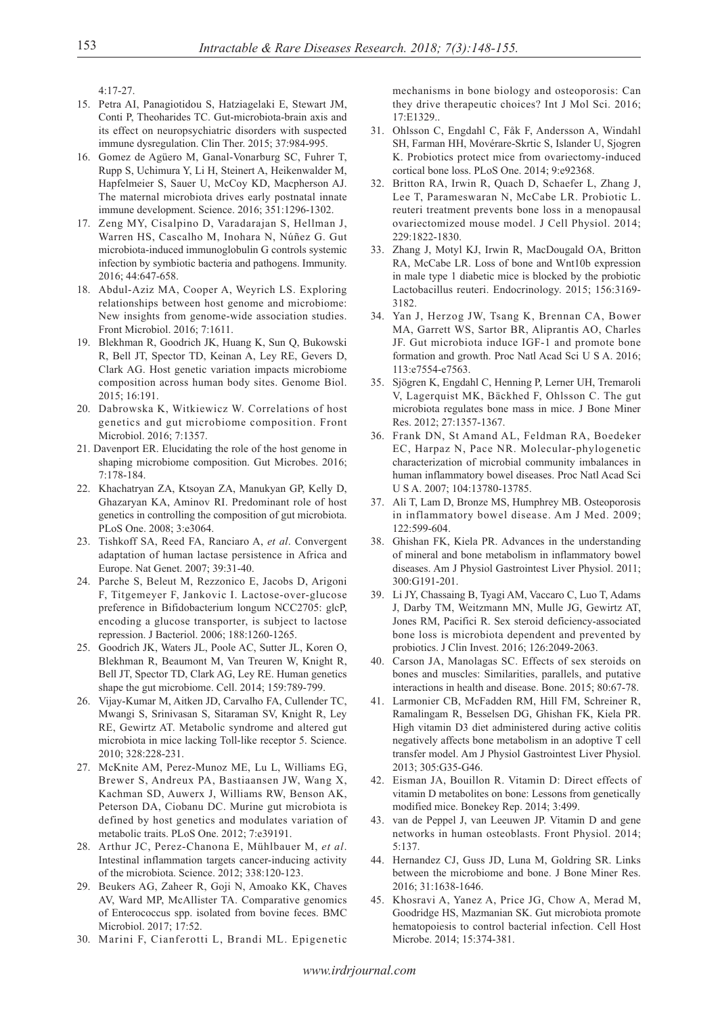4:17-27.

- 15. Petra AI, Panagiotidou S, Hatziagelaki E, Stewart JM, Conti P, Theoharides TC. Gut-microbiota-brain axis and its effect on neuropsychiatric disorders with suspected immune dysregulation. Clin Ther. 2015; 37:984-995.
- 16. Gomez de Agüero M, Ganal-Vonarburg SC, Fuhrer T, Rupp S, Uchimura Y, Li H, Steinert A, Heikenwalder M, Hapfelmeier S, Sauer U, McCoy KD, Macpherson AJ. The maternal microbiota drives early postnatal innate immune development. Science. 2016; 351:1296-1302.
- 17. Zeng MY, Cisalpino D, Varadarajan S, Hellman J, Warren HS, Cascalho M, Inohara N, Núñez G. Gut microbiota-induced immunoglobulin G controls systemic infection by symbiotic bacteria and pathogens. Immunity. 2016; 44:647-658.
- 18. Abdul-Aziz MA, Cooper A, Weyrich LS. Exploring relationships between host genome and microbiome: New insights from genome-wide association studies. Front Microbiol. 2016; 7:1611.
- 19. Blekhman R, Goodrich JK, Huang K, Sun Q, Bukowski R, Bell JT, Spector TD, Keinan A, Ley RE, Gevers D, Clark AG. Host genetic variation impacts microbiome composition across human body sites. Genome Biol. 2015; 16:191.
- 20. Dabrowska K, Witkiewicz W. Correlations of host genetics and gut microbiome composition. Front Microbiol. 2016; 7:1357.
- 21. Davenport ER. Elucidating the role of the host genome in shaping microbiome composition. Gut Microbes. 2016; 7:178-184.
- 22. Khachatryan ZA, Ktsoyan ZA, Manukyan GP, Kelly D, Ghazaryan KA, Aminov RI. Predominant role of host genetics in controlling the composition of gut microbiota. PLoS One. 2008; 3:e3064.
- 23. Tishkoff SA, Reed FA, Ranciaro A, *et al*. Convergent adaptation of human lactase persistence in Africa and Europe. Nat Genet. 2007; 39:31-40.
- 24. Parche S, Beleut M, Rezzonico E, Jacobs D, Arigoni F, Titgemeyer F, Jankovic I. Lactose-over-glucose preference in Bifidobacterium longum NCC2705: glcP, encoding a glucose transporter, is subject to lactose repression. J Bacteriol. 2006; 188:1260-1265.
- 25. Goodrich JK, Waters JL, Poole AC, Sutter JL, Koren O, Blekhman R, Beaumont M, Van Treuren W, Knight R, Bell JT, Spector TD, Clark AG, Ley RE. Human genetics shape the gut microbiome. Cell. 2014; 159:789-799.
- 26. Vijay-Kumar M, Aitken JD, Carvalho FA, Cullender TC, Mwangi S, Srinivasan S, Sitaraman SV, Knight R, Ley RE, Gewirtz AT. Metabolic syndrome and altered gut microbiota in mice lacking Toll-like receptor 5. Science. 2010; 328:228-231.
- 27. McKnite AM, Perez-Munoz ME, Lu L, Williams EG, Brewer S, Andreux PA, Bastiaansen JW, Wang X, Kachman SD, Auwerx J, Williams RW, Benson AK, Peterson DA, Ciobanu DC. Murine gut microbiota is defined by host genetics and modulates variation of metabolic traits. PLoS One. 2012; 7:e39191.
- 28. Arthur JC, Perez-Chanona E, Mühlbauer M, *et al*. Intestinal inflammation targets cancer-inducing activity of the microbiota. Science. 2012; 338:120-123.
- 29. Beukers AG, Zaheer R, Goji N, Amoako KK, Chaves AV, Ward MP, McAllister TA. Comparative genomics of Enterococcus spp. isolated from bovine feces. BMC Microbiol. 2017; 17:52.
- 30. Marini F, Cianferotti L, Brandi ML. Epigenetic

mechanisms in bone biology and osteoporosis: Can they drive therapeutic choices? Int J Mol Sci. 2016; 17:E1329..

- 31. Ohlsson C, Engdahl C, Fåk F, Andersson A, Windahl SH, Farman HH, Movérare-Skrtic S, Islander U, Sjogren K. Probiotics protect mice from ovariectomy-induced cortical bone loss. PLoS One. 2014; 9:e92368.
- 32. Britton RA, Irwin R, Quach D, Schaefer L, Zhang J, Lee T, Parameswaran N, McCabe LR. Probiotic L. reuteri treatment prevents bone loss in a menopausal ovariectomized mouse model. J Cell Physiol. 2014; 229:1822-1830.
- 33. Zhang J, Motyl KJ, Irwin R, MacDougald OA, Britton RA, McCabe LR. Loss of bone and Wnt10b expression in male type 1 diabetic mice is blocked by the probiotic Lactobacillus reuteri. Endocrinology. 2015; 156:3169- 3182.
- 34. Yan J, Herzog JW, Tsang K, Brennan CA, Bower MA, Garrett WS, Sartor BR, Aliprantis AO, Charles JF. Gut microbiota induce IGF-1 and promote bone formation and growth. Proc Natl Acad Sci U S A. 2016; 113:e7554-e7563.
- 35. Sjögren K, Engdahl C, Henning P, Lerner UH, Tremaroli V, Lagerquist MK, Bäckhed F, Ohlsson C. The gut microbiota regulates bone mass in mice. J Bone Miner Res. 2012; 27:1357-1367.
- 36. Frank DN, St Amand AL, Feldman RA, Boedeker EC, Harpaz N, Pace NR. Molecular-phylogenetic characterization of microbial community imbalances in human inflammatory bowel diseases. Proc Natl Acad Sci U S A. 2007; 104:13780-13785.
- 37. Ali T, Lam D, Bronze MS, Humphrey MB. Osteoporosis in inflammatory bowel disease. Am J Med. 2009; 122:599-604.
- 38. Ghishan FK, Kiela PR. Advances in the understanding of mineral and bone metabolism in inflammatory bowel diseases. Am J Physiol Gastrointest Liver Physiol. 2011; 300:G191-201.
- 39. Li JY, Chassaing B, Tyagi AM, Vaccaro C, Luo T, Adams J, Darby TM, Weitzmann MN, Mulle JG, Gewirtz AT, Jones RM, Pacifici R. Sex steroid deficiency-associated bone loss is microbiota dependent and prevented by probiotics. J Clin Invest. 2016; 126:2049-2063.
- 40. Carson JA, Manolagas SC. Effects of sex steroids on bones and muscles: Similarities, parallels, and putative interactions in health and disease. Bone. 2015; 80:67-78.
- 41. Larmonier CB, McFadden RM, Hill FM, Schreiner R, Ramalingam R, Besselsen DG, Ghishan FK, Kiela PR. High vitamin D3 diet administered during active colitis negatively affects bone metabolism in an adoptive T cell transfer model. Am J Physiol Gastrointest Liver Physiol. 2013; 305:G35-G46.
- 42. Eisman JA, Bouillon R. Vitamin D: Direct effects of vitamin D metabolites on bone: Lessons from genetically modified mice. Bonekey Rep. 2014; 3:499.
- 43. van de Peppel J, van Leeuwen JP. Vitamin D and gene networks in human osteoblasts. Front Physiol. 2014; 5:137.
- 44. Hernandez CJ, Guss JD, Luna M, Goldring SR. Links between the microbiome and bone. J Bone Miner Res. 2016; 31:1638-1646.
- 45. Khosravi A, Yanez A, Price JG, Chow A, Merad M, Goodridge HS, Mazmanian SK. Gut microbiota promote hematopoiesis to control bacterial infection. Cell Host Microbe. 2014; 15:374-381.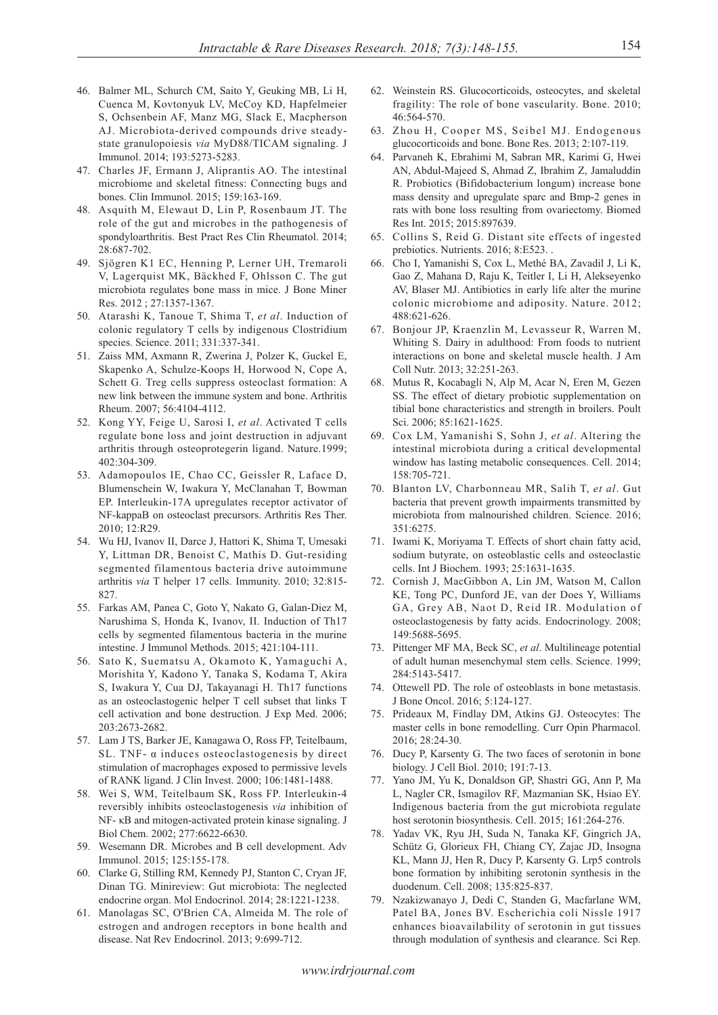- 46. Balmer ML, Schurch CM, Saito Y, Geuking MB, Li H, Cuenca M, Kovtonyuk LV, McCoy KD, Hapfelmeier S, Ochsenbein AF, Manz MG, Slack E, Macpherson AJ. Microbiota-derived compounds drive steadystate granulopoiesis *via* MyD88/TICAM signaling. J Immunol. 2014; 193:5273-5283.
- 47. Charles JF, Ermann J, Aliprantis AO. The intestinal microbiome and skeletal fitness: Connecting bugs and bones. Clin Immunol. 2015; 159:163-169.
- 48. Asquith M, Elewaut D, Lin P, Rosenbaum JT. The role of the gut and microbes in the pathogenesis of spondyloarthritis. Best Pract Res Clin Rheumatol. 2014; 28:687-702.
- 49. Sjögren K1 EC, Henning P, Lerner UH, Tremaroli V, Lagerquist MK, Bäckhed F, Ohlsson C. The gut microbiota regulates bone mass in mice. J Bone Miner Res. 2012 ; 27:1357-1367.
- 50. Atarashi K, Tanoue T, Shima T, *et al*. Induction of colonic regulatory T cells by indigenous Clostridium species. Science. 2011; 331:337-341.
- 51. Zaiss MM, Axmann R, Zwerina J, Polzer K, Guckel E, Skapenko A, Schulze-Koops H, Horwood N, Cope A, Schett G. Treg cells suppress osteoclast formation: A new link between the immune system and bone. Arthritis Rheum. 2007; 56:4104-4112.
- 52. Kong YY, Feige U, Sarosi I, *et al*. Activated T cells regulate bone loss and joint destruction in adjuvant arthritis through osteoprotegerin ligand. Nature.1999; 402:304-309.
- 53. Adamopoulos IE, Chao CC, Geissler R, Laface D, Blumenschein W, Iwakura Y, McClanahan T, Bowman EP. Interleukin-17A upregulates receptor activator of NF-kappaB on osteoclast precursors. Arthritis Res Ther. 2010; 12:R29.
- 54. Wu HJ, Ivanov II, Darce J, Hattori K, Shima T, Umesaki Y, Littman DR, Benoist C, Mathis D. Gut-residing segmented filamentous bacteria drive autoimmune arthritis *via* T helper 17 cells. Immunity. 2010; 32:815- 827.
- 55. Farkas AM, Panea C, Goto Y, Nakato G, Galan-Diez M, Narushima S, Honda K, Ivanov, II. Induction of Th17 cells by segmented filamentous bacteria in the murine intestine. J Immunol Methods. 2015; 421:104-111.
- 56. Sato K, Suematsu A, Okamoto K, Yamaguchi A, Morishita Y, Kadono Y, Tanaka S, Kodama T, Akira S, Iwakura Y, Cua DJ, Takayanagi H. Th17 functions as an osteoclastogenic helper T cell subset that links T cell activation and bone destruction. J Exp Med. 2006; 203:2673-2682.
- 57. Lam J TS, Barker JE, Kanagawa O, Ross FP, Teitelbaum, SL. TNF- α induces osteoclastogenesis by direct stimulation of macrophages exposed to permissive levels of RANK ligand. J Clin Invest. 2000; 106:1481-1488.
- 58. Wei S, WM, Teitelbaum SK, Ross FP. Interleukin-4 reversibly inhibits osteoclastogenesis *via* inhibition of NF- κB and mitogen-activated protein kinase signaling. J Biol Chem. 2002; 277:6622-6630.
- 59. Wesemann DR. Microbes and B cell development. Adv Immunol. 2015; 125:155-178.
- 60. Clarke G, Stilling RM, Kennedy PJ, Stanton C, Cryan JF, Dinan TG. Minireview: Gut microbiota: The neglected endocrine organ. Mol Endocrinol. 2014; 28:1221-1238.
- 61. Manolagas SC, O'Brien CA, Almeida M. The role of estrogen and androgen receptors in bone health and disease. Nat Rev Endocrinol. 2013; 9:699-712.
- 62. Weinstein RS. Glucocorticoids, osteocytes, and skeletal fragility: The role of bone vascularity. Bone. 2010; 46:564-570.
- 63. Zhou H, Cooper MS, Seibel MJ. Endogenous glucocorticoids and bone. Bone Res. 2013; 2:107-119.
- 64. Parvaneh K, Ebrahimi M, Sabran MR, Karimi G, Hwei AN, Abdul-Majeed S, Ahmad Z, Ibrahim Z, Jamaluddin R. Probiotics (Bifidobacterium longum) increase bone mass density and upregulate sparc and Bmp-2 genes in rats with bone loss resulting from ovariectomy. Biomed Res Int. 2015; 2015:897639.
- 65. Collins S, Reid G. Distant site effects of ingested prebiotics. Nutrients. 2016; 8:E523. .
- 66. Cho I, Yamanishi S, Cox L, Methé BA, Zavadil J, Li K, Gao Z, Mahana D, Raju K, Teitler I, Li H, Alekseyenko AV, Blaser MJ. Antibiotics in early life alter the murine colonic microbiome and adiposity. Nature. 2012; 488:621-626.
- 67. Bonjour JP, Kraenzlin M, Levasseur R, Warren M, Whiting S. Dairy in adulthood: From foods to nutrient interactions on bone and skeletal muscle health. J Am Coll Nutr. 2013; 32:251-263.
- 68. Mutus R, Kocabagli N, Alp M, Acar N, Eren M, Gezen SS. The effect of dietary probiotic supplementation on tibial bone characteristics and strength in broilers. Poult Sci. 2006; 85:1621-1625.
- 69. Cox LM, Yamanishi S, Sohn J, *et al*. Altering the intestinal microbiota during a critical developmental window has lasting metabolic consequences. Cell. 2014; 158:705-721.
- 70. Blanton LV, Charbonneau MR, Salih T, *et al*. Gut bacteria that prevent growth impairments transmitted by microbiota from malnourished children. Science. 2016; 351:6275.
- 71. Iwami K, Moriyama T. Effects of short chain fatty acid, sodium butyrate, on osteoblastic cells and osteoclastic cells. Int J Biochem. 1993; 25:1631-1635.
- 72. Cornish J, MacGibbon A, Lin JM, Watson M, Callon KE, Tong PC, Dunford JE, van der Does Y, Williams GA, Grey AB, Naot D, Reid IR. Modulation of osteoclastogenesis by fatty acids. Endocrinology. 2008; 149:5688-5695.
- 73. Pittenger MF MA, Beck SC, *et al*. Multilineage potential of adult human mesenchymal stem cells. Science. 1999; 284:5143-5417.
- 74. Ottewell PD. The role of osteoblasts in bone metastasis. J Bone Oncol. 2016; 5:124-127.
- 75. Prideaux M, Findlay DM, Atkins GJ. Osteocytes: The master cells in bone remodelling. Curr Opin Pharmacol. 2016; 28:24-30.
- 76. Ducy P, Karsenty G. The two faces of serotonin in bone biology. J Cell Biol. 2010; 191:7-13.
- 77. Yano JM, Yu K, Donaldson GP, Shastri GG, Ann P, Ma L, Nagler CR, Ismagilov RF, Mazmanian SK, Hsiao EY. Indigenous bacteria from the gut microbiota regulate host serotonin biosynthesis. Cell. 2015; 161:264-276.
- 78. Yadav VK, Ryu JH, Suda N, Tanaka KF, Gingrich JA, Schütz G, Glorieux FH, Chiang CY, Zajac JD, Insogna KL, Mann JJ, Hen R, Ducy P, Karsenty G. Lrp5 controls bone formation by inhibiting serotonin synthesis in the duodenum. Cell. 2008; 135:825-837.
- 79. Nzakizwanayo J, Dedi C, Standen G, Macfarlane WM, Patel BA, Jones BV. Escherichia coli Nissle 1917 enhances bioavailability of serotonin in gut tissues through modulation of synthesis and clearance. Sci Rep.